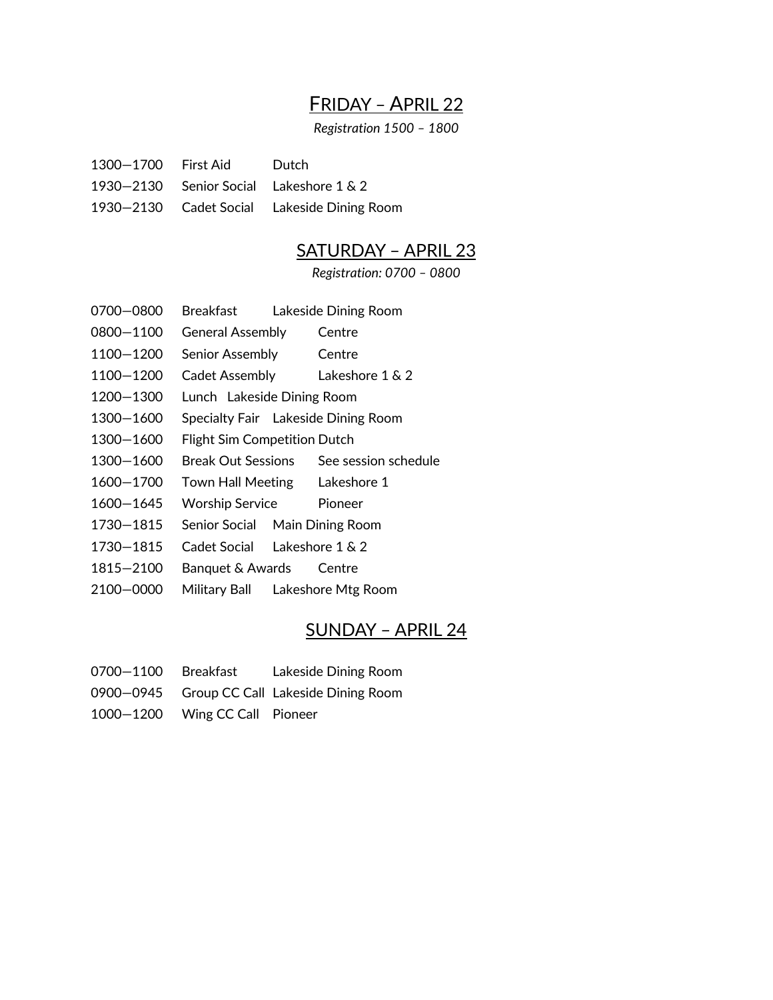# FRIDAY – APRIL 22

*Registration 1500 – 1800*

| 1300–1700 First Aid | Dutch                                   |
|---------------------|-----------------------------------------|
|                     | 1930–2130 Senior Social Lakeshore 1 & 2 |

1930—2130 Cadet Social Lakeside Dining Room

# SATURDAY – APRIL 23

*Registration: 0700 – 0800*

- 0700—0800 Breakfast Lakeside Dining Room
- 0800—1100 General Assembly Centre
- 1100—1200 Senior Assembly Centre
- 1100—1200 Cadet Assembly Lakeshore 1 & 2
- 1200—1300 Lunch Lakeside Dining Room
- 1300—1600 Specialty Fair Lakeside Dining Room
- 1300—1600 Flight Sim Competition Dutch
- 1300—1600 Break Out Sessions See session schedule
- 1600—1700 Town Hall Meeting Lakeshore 1
- 1600—1645 Worship Service Pioneer
- 1730—1815 Senior Social Main Dining Room
- 1730—1815 Cadet Social Lakeshore 1 & 2
- 1815—2100 Banquet & Awards Centre
- 2100—0000 Military Ball Lakeshore Mtg Room

## SUNDAY – APRIL 24

- 0700—1100 Breakfast Lakeside Dining Room
- 0900—0945 Group CC Call Lakeside Dining Room
- 1000—1200 Wing CC Call Pioneer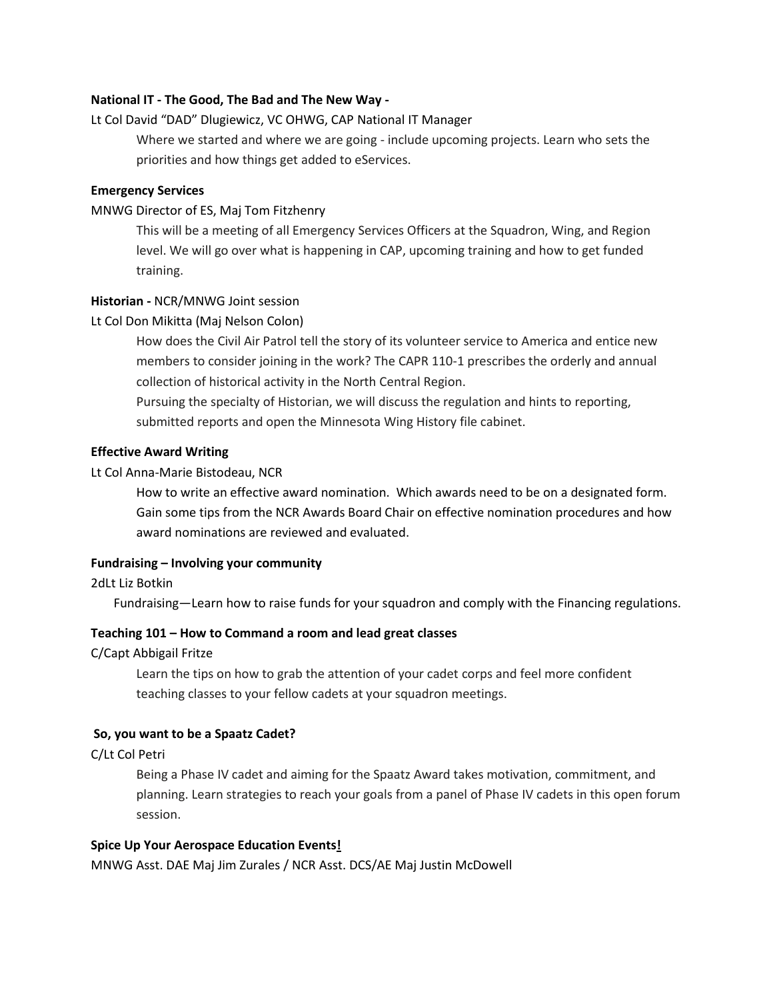## **National IT - The Good, The Bad and The New Way -**

## Lt Col David "DAD" Dlugiewicz, VC OHWG, CAP National IT Manager

Where we started and where we are going - include upcoming projects. Learn who sets the priorities and how things get added to eServices.

### **Emergency Services**

## MNWG Director of ES, Maj Tom Fitzhenry

This will be a meeting of all Emergency Services Officers at the Squadron, Wing, and Region level. We will go over what is happening in CAP, upcoming training and how to get funded training.

## **Historian -** NCR/MNWG Joint session

## Lt Col Don Mikitta (Maj Nelson Colon)

How does the Civil Air Patrol tell the story of its volunteer service to America and entice new members to consider joining in the work? The CAPR 110-1 prescribes the orderly and annual collection of historical activity in the North Central Region.

Pursuing the specialty of Historian, we will discuss the regulation and hints to reporting, submitted reports and open the Minnesota Wing History file cabinet.

## **Effective Award Writing**

## Lt Col Anna-Marie Bistodeau, NCR

How to write an effective award nomination. Which awards need to be on a designated form. Gain some tips from the NCR Awards Board Chair on effective nomination procedures and how award nominations are reviewed and evaluated.

## **Fundraising – Involving your community**

## 2dLt Liz Botkin

Fundraising—Learn how to raise funds for your squadron and comply with the Financing regulations.

#### **Teaching 101 – How to Command a room and lead great classes**

C/Capt Abbigail Fritze

Learn the tips on how to grab the attention of your cadet corps and feel more confident teaching classes to your fellow cadets at your squadron meetings.

#### **So, you want to be a Spaatz Cadet?**

## C/Lt Col Petri

Being a Phase IV cadet and aiming for the Spaatz Award takes motivation, commitment, and planning. Learn strategies to reach your goals from a panel of Phase IV cadets in this open forum session.

#### **Spice Up Your Aerospace Education Events!**

MNWG Asst. DAE Maj Jim Zurales / NCR Asst. DCS/AE Maj Justin McDowell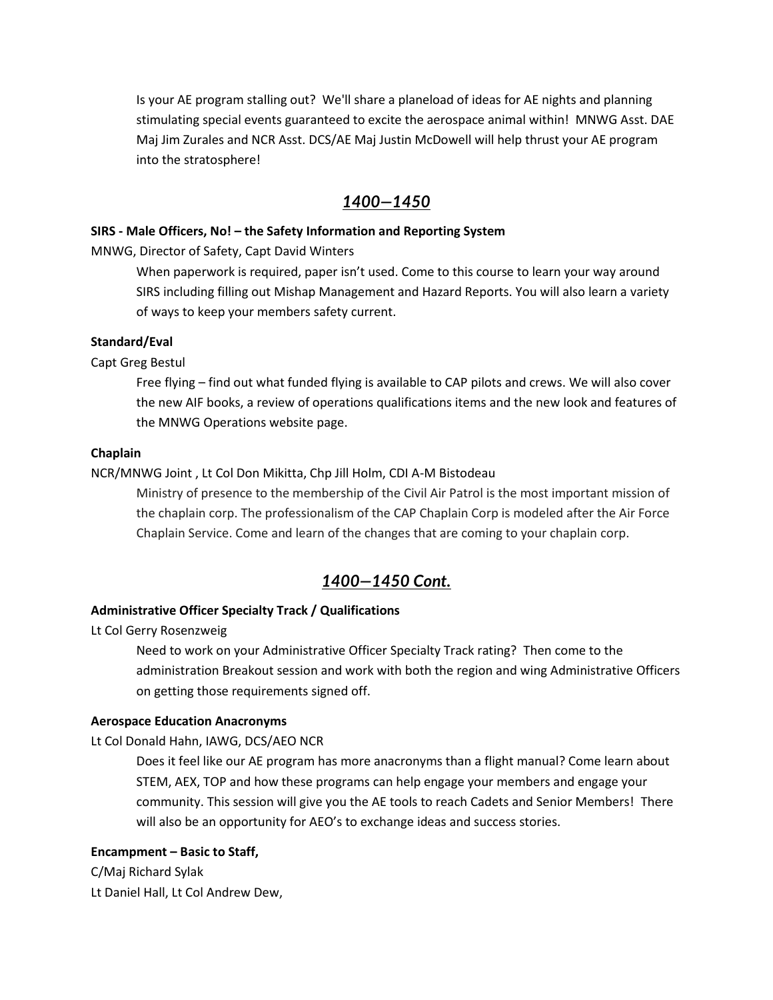Is your AE program stalling out? We'll share a planeload of ideas for AE nights and planning stimulating special events guaranteed to excite the aerospace animal within! MNWG Asst. DAE Maj Jim Zurales and NCR Asst. DCS/AE Maj Justin McDowell will help thrust your AE program into the stratosphere!

## *1400—1450*

## **SIRS - Male Officers, No! – the Safety Information and Reporting System**

MNWG, Director of Safety, Capt David Winters

When paperwork is required, paper isn't used. Come to this course to learn your way around SIRS including filling out Mishap Management and Hazard Reports. You will also learn a variety of ways to keep your members safety current.

## **Standard/Eval**

Capt Greg Bestul

Free flying – find out what funded flying is available to CAP pilots and crews. We will also cover the new AIF books, a review of operations qualifications items and the new look and features of the MNWG Operations website page.

#### **Chaplain**

## NCR/MNWG Joint , Lt Col Don Mikitta, Chp Jill Holm, CDI A-M Bistodeau

Ministry of presence to the membership of the Civil Air Patrol is the most important mission of the chaplain corp. The professionalism of the CAP Chaplain Corp is modeled after the Air Force Chaplain Service. Come and learn of the changes that are coming to your chaplain corp.

## *1400—1450 Cont.*

## **Administrative Officer Specialty Track / Qualifications**

Lt Col Gerry Rosenzweig

Need to work on your Administrative Officer Specialty Track rating? Then come to the administration Breakout session and work with both the region and wing Administrative Officers on getting those requirements signed off.

#### **Aerospace Education Anacronyms**

Lt Col Donald Hahn, IAWG, DCS/AEO NCR

Does it feel like our AE program has more anacronyms than a flight manual? Come learn about STEM, AEX, TOP and how these programs can help engage your members and engage your community. This session will give you the AE tools to reach Cadets and Senior Members! There will also be an opportunity for AEO's to exchange ideas and success stories.

#### **Encampment – Basic to Staff,**

C/Maj Richard Sylak Lt Daniel Hall, Lt Col Andrew Dew,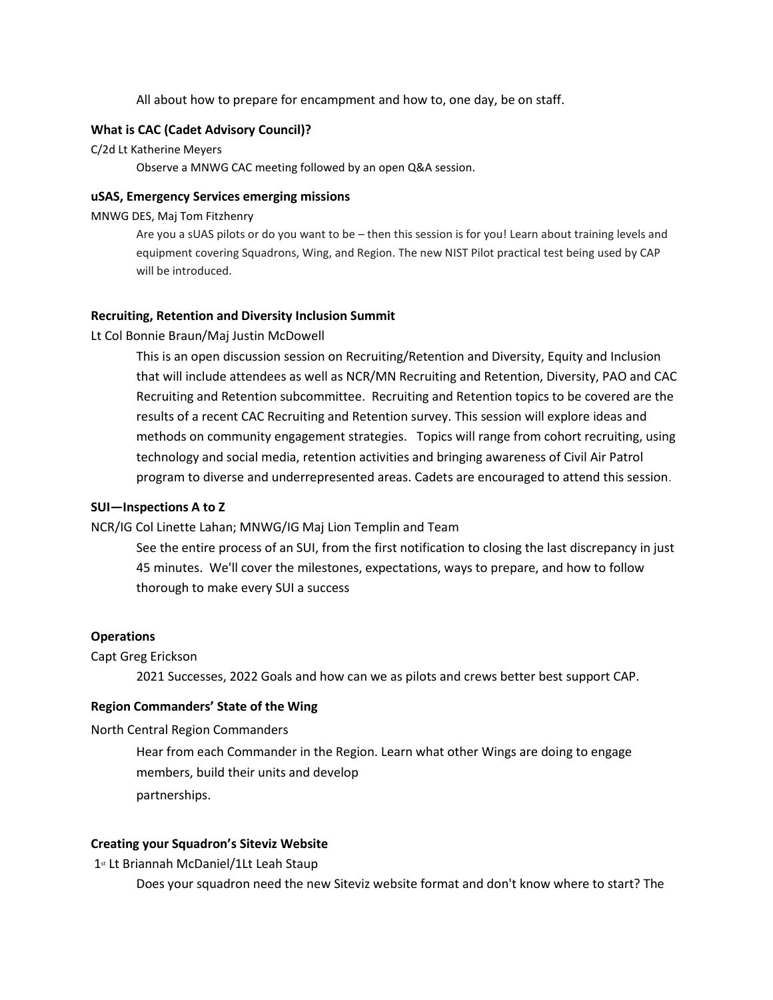All about how to prepare for encampment and how to, one day, be on staff.

#### **What is CAC (Cadet Advisory Council)?**

#### C/2d Lt Katherine Meyers

Observe a MNWG CAC meeting followed by an open Q&A session.

### **uSAS, Emergency Services emerging missions**

#### MNWG DES, Maj Tom Fitzhenry

Are you a sUAS pilots or do you want to be – then this session is for you! Learn about training levels and equipment covering Squadrons, Wing, and Region. The new NIST Pilot practical test being used by CAP will be introduced.

#### **Recruiting, Retention and Diversity Inclusion Summit**

#### Lt Col Bonnie Braun/Maj Justin McDowell

This is an open discussion session on Recruiting/Retention and Diversity, Equity and Inclusion that will include attendees as well as NCR/MN Recruiting and Retention, Diversity, PAO and CAC Recruiting and Retention subcommittee. Recruiting and Retention topics to be covered are the results of a recent CAC Recruiting and Retention survey. This session will explore ideas and methods on community engagement strategies. Topics will range from cohort recruiting, using technology and social media, retention activities and bringing awareness of Civil Air Patrol program to diverse and underrepresented areas. Cadets are encouraged to attend this session.

## **SUI—Inspections A to Z**

### NCR/IG Col Linette Lahan; MNWG/IG Maj Lion Templin and Team

See the entire process of an SUI, from the first notification to closing the last discrepancy in just 45 minutes. We'll cover the milestones, expectations, ways to prepare, and how to follow thorough to make every SUI a success

#### **Operations**

#### Capt Greg Erickson

2021 Successes, 2022 Goals and how can we as pilots and crews better best support CAP.

#### **Region Commanders' State of the Wing**

#### North Central Region Commanders

Hear from each Commander in the Region. Learn what other Wings are doing to engage members, build their units and develop partnerships.

#### **Creating your Squadron's Siteviz Website**

1st Lt Briannah McDaniel/1Lt Leah Staup

Does your squadron need the new Siteviz website format and don't know where to start? The